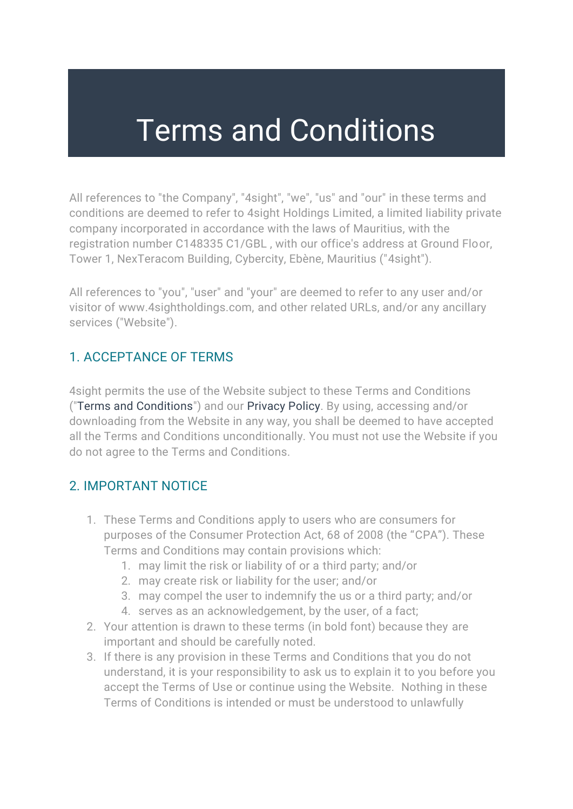# Terms and Conditions

All references to "the Company", "4sight", "we", "us" and "our" in these terms and conditions are deemed to refer to 4sight Holdings Limited, a limited liability private company incorporated in accordance with the laws of Mauritius, with the registration number C148335 C1/GBL , with our office's address at Ground Floor, Tower 1, NexTeracom Building, Cybercity, Ebène, Mauritius ("4sight").

All references to "you", "user" and "your" are deemed to refer to any user and/or visitor of www.4sightholdings.com, and other related URLs, and/or any ancillary services ("Website").

## 1. ACCEPTANCE OF TERMS

4sight permits the use of the Website subject to these Terms and Conditions (["Terms and Conditions"](https://4sight.z.devscreen.com/terms)) and our [Privacy Policy.](https://4sight.z.devscreen.com/privacy) By using, accessing and/or downloading from the Website in any way, you shall be deemed to have accepted all the Terms and Conditions unconditionally. You must not use the Website if you do not agree to the Terms and Conditions.

#### 2. IMPORTANT NOTICE

- 1. These Terms and Conditions apply to users who are consumers for purposes of the Consumer Protection Act, 68 of 2008 (the "CPA"). These Terms and Conditions may contain provisions which:
	- 1. may limit the risk or liability of or a third party; and/or
	- 2. may create risk or liability for the user; and/or
	- 3. may compel the user to indemnify the us or a third party; and/or
	- 4. serves as an acknowledgement, by the user, of a fact;
- 2. Your attention is drawn to these terms (in bold font) because they are important and should be carefully noted.
- 3. If there is any provision in these Terms and Conditions that you do not understand, it is your responsibility to ask us to explain it to you before you accept the Terms of Use or continue using the Website. Nothing in these Terms of Conditions is intended or must be understood to unlawfully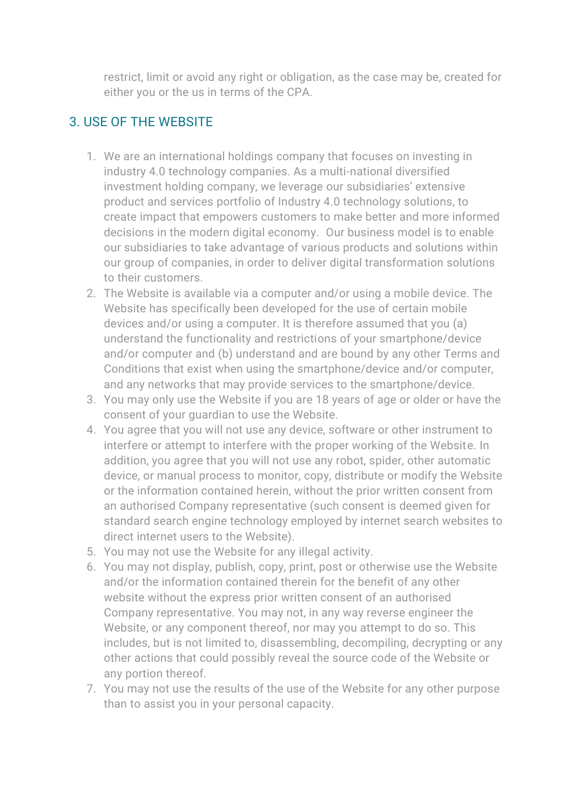restrict, limit or avoid any right or obligation, as the case may be, created for either you or the us in terms of the CPA.

# 3. USE OF THE WEBSITE

- 1. We are an international holdings company that focuses on investing in industry 4.0 technology companies. As a multi-national diversified investment holding company, we leverage our subsidiaries' extensive product and services portfolio of Industry 4.0 technology solutions, to create impact that empowers customers to make better and more informed decisions in the modern digital economy. Our business model is to enable our subsidiaries to take advantage of various products and solutions within our group of companies, in order to deliver digital transformation solutions to their customers.
- 2. The Website is available via a computer and/or using a mobile device. The Website has specifically been developed for the use of certain mobile devices and/or using a computer. It is therefore assumed that you (a) understand the functionality and restrictions of your smartphone/device and/or computer and (b) understand and are bound by any other Terms and Conditions that exist when using the smartphone/device and/or computer, and any networks that may provide services to the smartphone/device.
- 3. You may only use the Website if you are 18 years of age or older or have the consent of your guardian to use the Website.
- 4. You agree that you will not use any device, software or other instrument to interfere or attempt to interfere with the proper working of the Website. In addition, you agree that you will not use any robot, spider, other automatic device, or manual process to monitor, copy, distribute or modify the Website or the information contained herein, without the prior written consent from an authorised Company representative (such consent is deemed given for standard search engine technology employed by internet search websites to direct internet users to the Website).
- 5. You may not use the Website for any illegal activity.
- 6. You may not display, publish, copy, print, post or otherwise use the Website and/or the information contained therein for the benefit of any other website without the express prior written consent of an authorised Company representative. You may not, in any way reverse engineer the Website, or any component thereof, nor may you attempt to do so. This includes, but is not limited to, disassembling, decompiling, decrypting or any other actions that could possibly reveal the source code of the Website or any portion thereof.
- 7. You may not use the results of the use of the Website for any other purpose than to assist you in your personal capacity.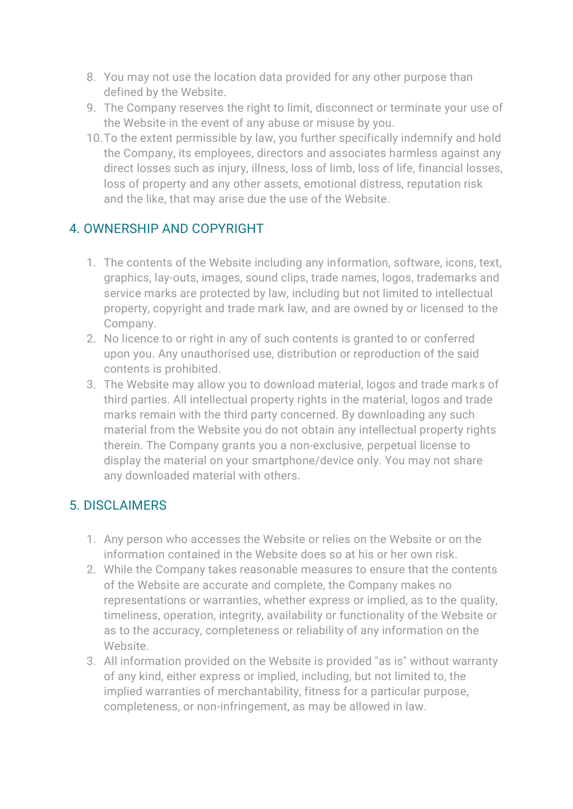- 8. You may not use the location data provided for any other purpose than defined by the Website.
- 9. The Company reserves the right to limit, disconnect or terminate your use of the Website in the event of any abuse or misuse by you.
- 10.To the extent permissible by law, you further specifically indemnify and hold the Company, its employees, directors and associates harmless against any direct losses such as injury, illness, loss of limb, loss of life, financial losses, loss of property and any other assets, emotional distress, reputation risk and the like, that may arise due the use of the Website.

## 4. OWNERSHIP AND COPYRIGHT

- 1. The contents of the Website including any information, software, icons, text, graphics, lay-outs, images, sound clips, trade names, logos, trademarks and service marks are protected by law, including but not limited to intellectual property, copyright and trade mark law, and are owned by or licensed to the Company.
- 2. No licence to or right in any of such contents is granted to or conferred upon you. Any unauthorised use, distribution or reproduction of the said contents is prohibited.
- 3. The Website may allow you to download material, logos and trade marks of third parties. All intellectual property rights in the material, logos and trade marks remain with the third party concerned. By downloading any such material from the Website you do not obtain any intellectual property rights therein. The Company grants you a non-exclusive, perpetual license to display the material on your smartphone/device only. You may not share any downloaded material with others.

#### 5. DISCLAIMERS

- 1. Any person who accesses the Website or relies on the Website or on the information contained in the Website does so at his or her own risk.
- 2. While the Company takes reasonable measures to ensure that the contents of the Website are accurate and complete, the Company makes no representations or warranties, whether express or implied, as to the quality, timeliness, operation, integrity, availability or functionality of the Website or as to the accuracy, completeness or reliability of any information on the Website.
- 3. All information provided on the Website is provided "as is" without warranty of any kind, either express or implied, including, but not limited to, the implied warranties of merchantability, fitness for a particular purpose, completeness, or non-infringement, as may be allowed in law.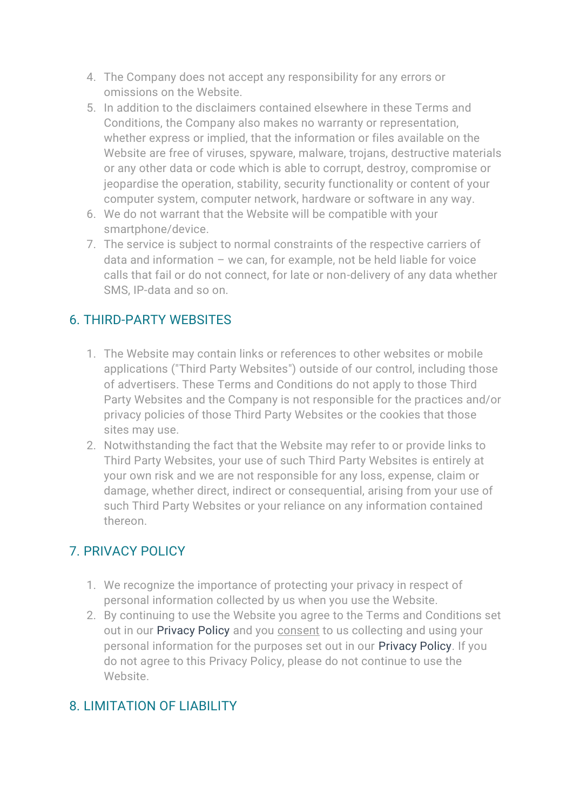- 4. The Company does not accept any responsibility for any errors or omissions on the Website.
- 5. In addition to the disclaimers contained elsewhere in these Terms and Conditions, the Company also makes no warranty or representation, whether express or implied, that the information or files available on the Website are free of viruses, spyware, malware, trojans, destructive materials or any other data or code which is able to corrupt, destroy, compromise or jeopardise the operation, stability, security functionality or content of your computer system, computer network, hardware or software in any way.
- 6. We do not warrant that the Website will be compatible with your smartphone/device.
- 7. The service is subject to normal constraints of the respective carriers of data and information – we can, for example, not be held liable for voice calls that fail or do not connect, for late or non-delivery of any data whether SMS, IP-data and so on.

## 6. THIRD-PARTY WEBSITES

- 1. The Website may contain links or references to other websites or mobile applications ("Third Party Websites") outside of our control, including those of advertisers. These Terms and Conditions do not apply to those Third Party Websites and the Company is not responsible for the practices and/or privacy policies of those Third Party Websites or the cookies that those sites may use.
- 2. Notwithstanding the fact that the Website may refer to or provide links to Third Party Websites, your use of such Third Party Websites is entirely at your own risk and we are not responsible for any loss, expense, claim or damage, whether direct, indirect or consequential, arising from your use of such Third Party Websites or your reliance on any information contained thereon.

#### 7. PRIVACY POLICY

- 1. We recognize the importance of protecting your privacy in respect of personal information collected by us when you use the Website.
- 2. By continuing to use the Website you agree to the Terms and Conditions set out in our [Privacy Policy](https://4sight.z.devscreen.com/privacy) and you consent to us collecting and using your personal information for the purposes set out in our [Privacy Policy.](https://4sight.z.devscreen.com/privacy) If you do not agree to this Privacy Policy, please do not continue to use the Website.

# 8. LIMITATION OF LIABILITY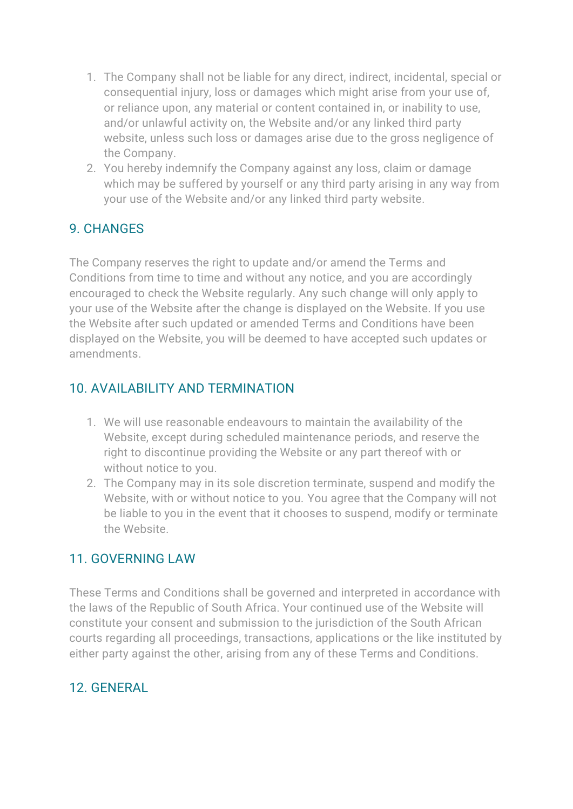- 1. The Company shall not be liable for any direct, indirect, incidental, special or consequential injury, loss or damages which might arise from your use of, or reliance upon, any material or content contained in, or inability to use, and/or unlawful activity on, the Website and/or any linked third party website, unless such loss or damages arise due to the gross negligence of the Company.
- 2. You hereby indemnify the Company against any loss, claim or damage which may be suffered by yourself or any third party arising in any way from your use of the Website and/or any linked third party website.

## 9. CHANGES

The Company reserves the right to update and/or amend the Terms and Conditions from time to time and without any notice, and you are accordingly encouraged to check the Website regularly. Any such change will only apply to your use of the Website after the change is displayed on the Website. If you use the Website after such updated or amended Terms and Conditions have been displayed on the Website, you will be deemed to have accepted such updates or amendments.

#### 10. AVAILABILITY AND TERMINATION

- 1. We will use reasonable endeavours to maintain the availability of the Website, except during scheduled maintenance periods, and reserve the right to discontinue providing the Website or any part thereof with or without notice to you.
- 2. The Company may in its sole discretion terminate, suspend and modify the Website, with or without notice to you. You agree that the Company will not be liable to you in the event that it chooses to suspend, modify or terminate the Website.

#### 11. GOVERNING LAW

These Terms and Conditions shall be governed and interpreted in accordance with the laws of the Republic of South Africa. Your continued use of the Website will constitute your consent and submission to the jurisdiction of the South African courts regarding all proceedings, transactions, applications or the like instituted by either party against the other, arising from any of these Terms and Conditions.

#### 12. GENERAL